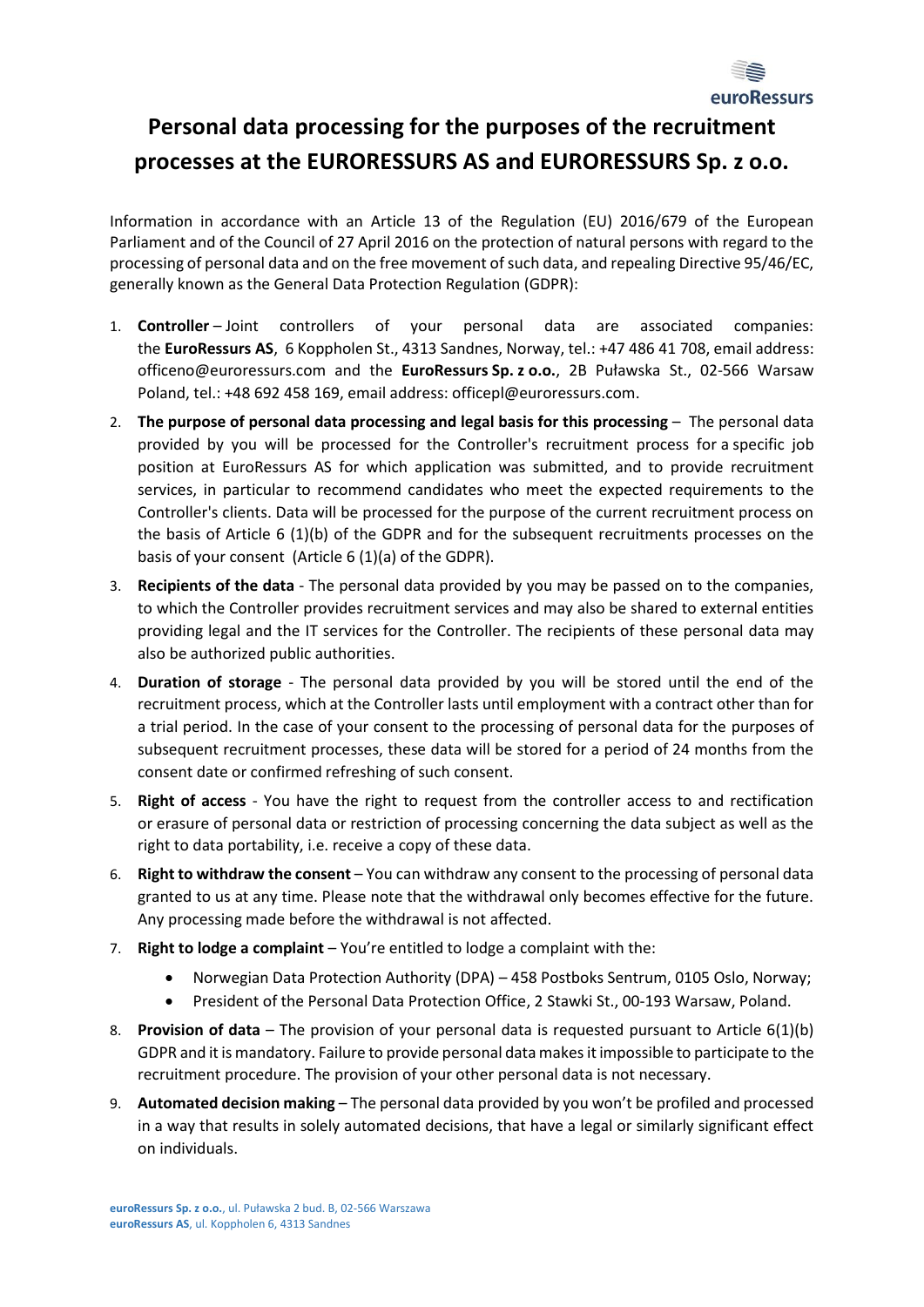

## **Personal data processing for the purposes of the recruitment processes at the EURORESSURS AS and EURORESSURS Sp. z o.o.**

Information in accordance with an Article 13 of the Regulation (EU) 2016/679 of the European Parliament and of the Council of 27 April 2016 on the protection of natural persons with regard to the processing of personal data and on the free movement of such data, and repealing Directive 95/46/EC, generally known as the General Data Protection Regulation (GDPR):

- 1. **Controller** Joint controllers of your personal data are associated companies: the **EuroRessurs AS**, 6 Koppholen St., 4313 Sandnes, Norway, tel.: +47 486 41 708, email address: officeno@euroressurs.com and the **EuroRessurs Sp. z o.o.**, 2B Puławska St., 02-566 Warsaw Poland, tel.: +48 692 458 169, email address: officepl@euroressurs.com.
- 2. **The purpose of personal data processing and legal basis for this processing** The personal data provided by you will be processed for the Controller's recruitment process for a specific job position at EuroRessurs AS for which application was submitted, and to provide recruitment services, in particular to recommend candidates who meet the expected requirements to the Controller's clients. Data will be processed for the purpose of the current recruitment process on the basis of Article 6 (1)(b) of the GDPR and for the subsequent recruitments processes on the basis of your consent (Article 6 (1)(a) of the GDPR).
- 3. **Recipients of the data**  The personal data provided by you may be passed on to the companies, to which the Controller provides recruitment services and may also be shared to external entities providing legal and the IT services for the Controller. The recipients of these personal data may also be authorized public authorities.
- 4. **Duration of storage** The personal data provided by you will be stored until the end of the recruitment process, which at the Controller lasts until employment with a contract other than for a trial period. In the case of your consent to the processing of personal data for the purposes of subsequent recruitment processes, these data will be stored for a period of 24 months from the consent date or confirmed refreshing of such consent.
- 5. **Right of access** You have the right to request from the controller access to and rectification or erasure of personal data or restriction of processing concerning the data subject as well as the right to data portability, i.e. receive a copy of these data.
- 6. **Right to withdraw the consent**  You can withdraw any consent to the processing of personal data granted to us at any time. Please note that the withdrawal only becomes effective for the future. Any processing made before the withdrawal is not affected.
- 7. **Right to lodge a complaint**  You're entitled to lodge a complaint with the:
	- Norwegian Data Protection Authority (DPA) 458 Postboks Sentrum, 0105 Oslo, Norway;
	- President of the Personal Data Protection Office, 2 Stawki St., 00-193 Warsaw, Poland.
- 8. **Provision of data**  The provision of your personal data is requested pursuant to Article 6(1)(b) GDPR and it is mandatory. Failure to provide personal data makesit impossible to participate to the recruitment procedure. The provision of your other personal data is not necessary.
- 9. **Automated decision making**  The personal data provided by you won't be profiled and processed in a way that results in solely automated decisions, that have a legal or similarly significant effect on individuals.